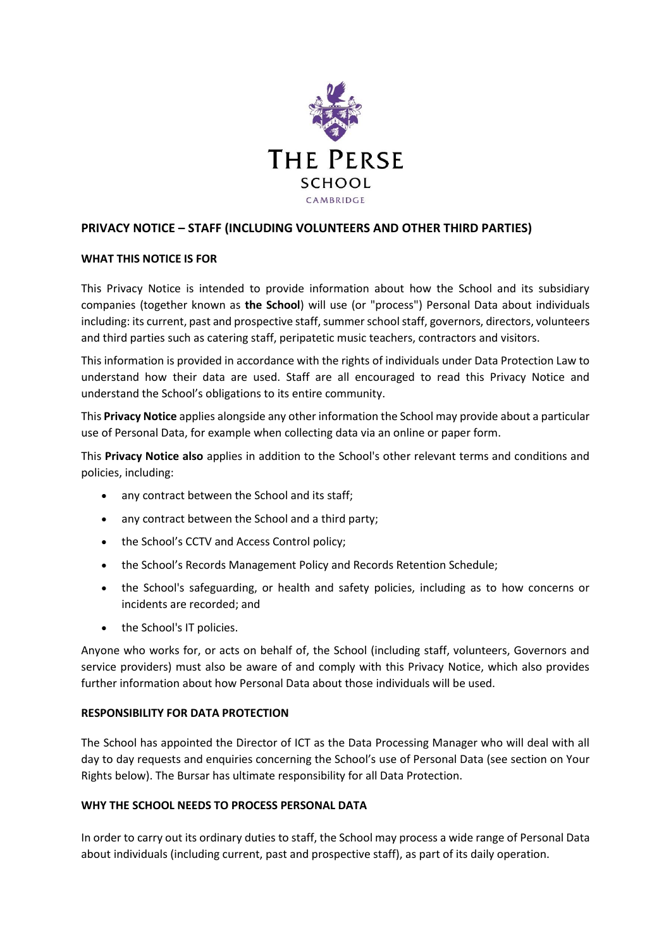

# **PRIVACY NOTICE – STAFF (INCLUDING VOLUNTEERS AND OTHER THIRD PARTIES)**

### **WHAT THIS NOTICE IS FOR**

This Privacy Notice is intended to provide information about how the School and its subsidiary companies (together known as **the School**) will use (or "process") Personal Data about individuals including: its current, past and prospective staff, summer school staff, governors, directors, volunteers and third parties such as catering staff, peripatetic music teachers, contractors and visitors.

This information is provided in accordance with the rights of individuals under Data Protection Law to understand how their data are used. Staff are all encouraged to read this Privacy Notice and understand the School's obligations to its entire community.

This **Privacy Notice** applies alongside any other information the School may provide about a particular use of Personal Data, for example when collecting data via an online or paper form.

This **Privacy Notice also** applies in addition to the School's other relevant terms and conditions and policies, including:

- any contract between the School and its staff;
- any contract between the School and a third party;
- the School's CCTV and Access Control policy;
- the School's Records Management Policy and Records Retention Schedule;
- the School's safeguarding, or health and safety policies, including as to how concerns or incidents are recorded; and
- the School's IT policies.

Anyone who works for, or acts on behalf of, the School (including staff, volunteers, Governors and service providers) must also be aware of and comply with this Privacy Notice, which also provides further information about how Personal Data about those individuals will be used.

### **RESPONSIBILITY FOR DATA PROTECTION**

The School has appointed the Director of ICT as the Data Processing Manager who will deal with all day to day requests and enquiries concerning the School's use of Personal Data (see section on Your Rights below). The Bursar has ultimate responsibility for all Data Protection.

### **WHY THE SCHOOL NEEDS TO PROCESS PERSONAL DATA**

In order to carry out its ordinary duties to staff, the School may process a wide range of Personal Data about individuals (including current, past and prospective staff), as part of its daily operation.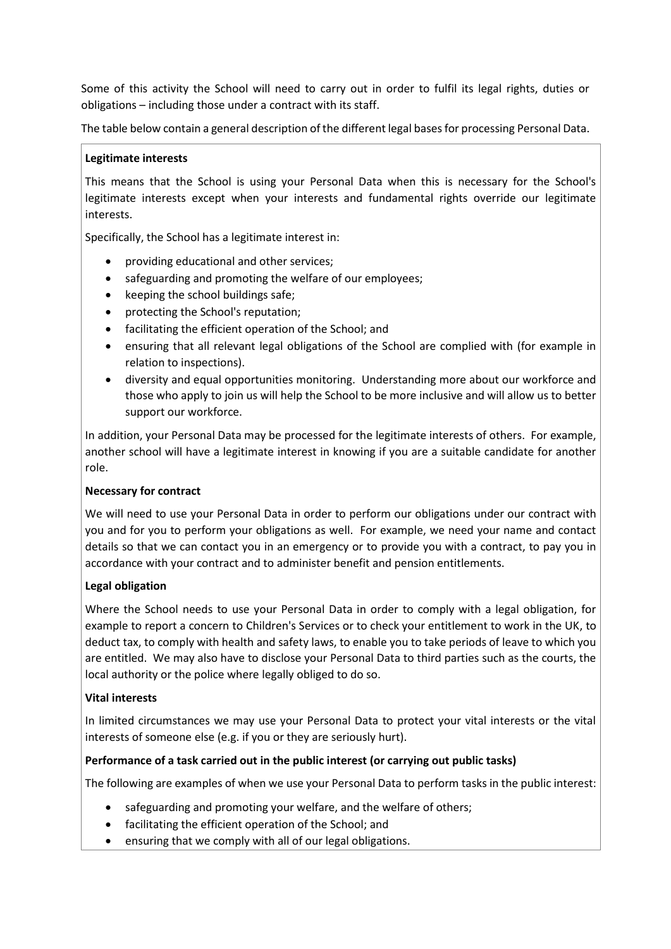Some of this activity the School will need to carry out in order to fulfil its legal rights, duties or obligations – including those under a contract with its staff.

The table below contain a general description of the different legal bases for processing Personal Data.

### **Legitimate interests**

This means that the School is using your Personal Data when this is necessary for the School's legitimate interests except when your interests and fundamental rights override our legitimate interests.

Specifically, the School has a legitimate interest in:

- providing educational and other services;
- safeguarding and promoting the welfare of our employees;
- keeping the school buildings safe;
- protecting the School's reputation;
- facilitating the efficient operation of the School; and
- ensuring that all relevant legal obligations of the School are complied with (for example in relation to inspections).
- diversity and equal opportunities monitoring. Understanding more about our workforce and those who apply to join us will help the School to be more inclusive and will allow us to better support our workforce.

In addition, your Personal Data may be processed for the legitimate interests of others. For example, another school will have a legitimate interest in knowing if you are a suitable candidate for another role.

### **Necessary for contract**

We will need to use your Personal Data in order to perform our obligations under our contract with you and for you to perform your obligations as well. For example, we need your name and contact details so that we can contact you in an emergency or to provide you with a contract, to pay you in accordance with your contract and to administer benefit and pension entitlements.

### **Legal obligation**

Where the School needs to use your Personal Data in order to comply with a legal obligation, for example to report a concern to Children's Services or to check your entitlement to work in the UK, to deduct tax, to comply with health and safety laws, to enable you to take periods of leave to which you are entitled. We may also have to disclose your Personal Data to third parties such as the courts, the local authority or the police where legally obliged to do so.

## **Vital interests**

In limited circumstances we may use your Personal Data to protect your vital interests or the vital interests of someone else (e.g. if you or they are seriously hurt).

## **Performance of a task carried out in the public interest (or carrying out public tasks)**

The following are examples of when we use your Personal Data to perform tasks in the public interest:

- safeguarding and promoting your welfare, and the welfare of others;
- facilitating the efficient operation of the School; and
- ensuring that we comply with all of our legal obligations.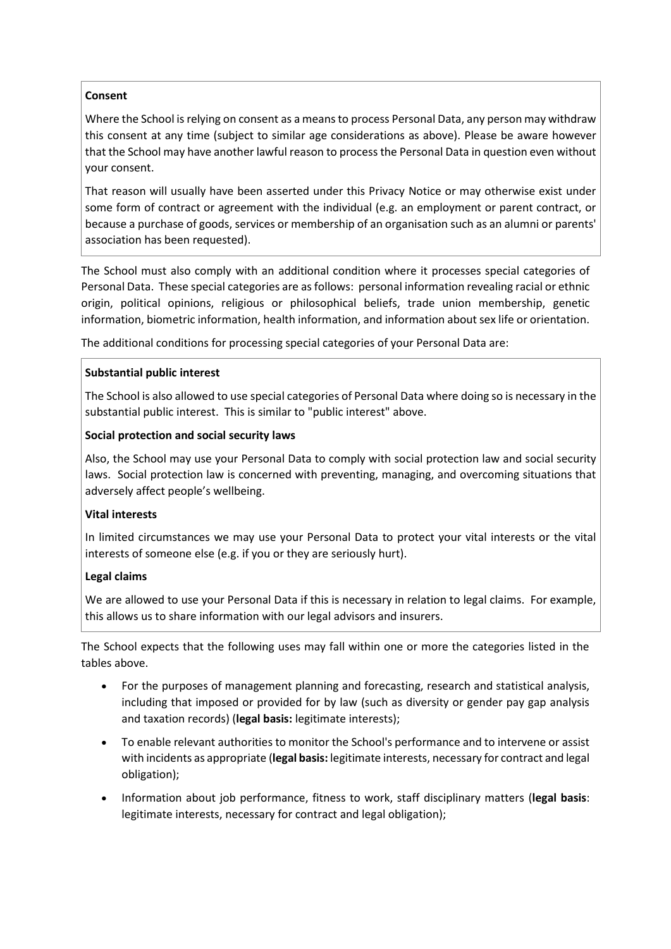### **Consent**

Where the School is relying on consent as a means to process Personal Data, any person may withdraw this consent at any time (subject to similar age considerations as above). Please be aware however that the School may have another lawful reason to process the Personal Data in question even without your consent.

That reason will usually have been asserted under this Privacy Notice or may otherwise exist under some form of contract or agreement with the individual (e.g. an employment or parent contract, or because a purchase of goods, services or membership of an organisation such as an alumni or parents' association has been requested).

The School must also comply with an additional condition where it processes special categories of Personal Data. These special categories are as follows: personal information revealing racial or ethnic origin, political opinions, religious or philosophical beliefs, trade union membership, genetic information, biometric information, health information, and information about sex life or orientation.

The additional conditions for processing special categories of your Personal Data are:

### **Substantial public interest**

The School is also allowed to use special categories of Personal Data where doing so is necessary in the substantial public interest. This is similar to "public interest" above.

### **Social protection and social security laws**

Also, the School may use your Personal Data to comply with social protection law and social security laws. Social protection law is concerned with preventing, managing, and overcoming situations that adversely affect people's wellbeing.

### **Vital interests**

In limited circumstances we may use your Personal Data to protect your vital interests or the vital interests of someone else (e.g. if you or they are seriously hurt).

## **Legal claims**

We are allowed to use your Personal Data if this is necessary in relation to legal claims. For example, this allows us to share information with our legal advisors and insurers.

The School expects that the following uses may fall within one or more the categories listed in the tables above.

- For the purposes of management planning and forecasting, research and statistical analysis, including that imposed or provided for by law (such as diversity or gender pay gap analysis and taxation records) (**legal basis:** legitimate interests);
- To enable relevant authorities to monitor the School's performance and to intervene or assist with incidents as appropriate (**legal basis:** legitimate interests, necessary for contract and legal obligation);
- Information about job performance, fitness to work, staff disciplinary matters (**legal basis**: legitimate interests, necessary for contract and legal obligation);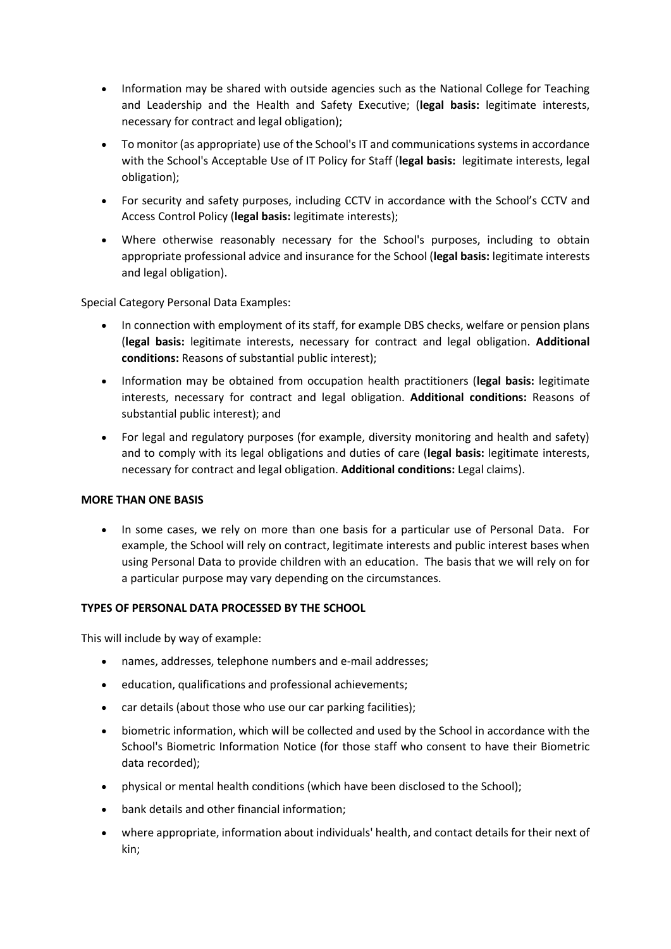- Information may be shared with outside agencies such as the National College for Teaching and Leadership and the Health and Safety Executive; (**legal basis:** legitimate interests, necessary for contract and legal obligation);
- To monitor (as appropriate) use of the School's IT and communications systems in accordance with the School's Acceptable Use of IT Policy for Staff (**legal basis:** legitimate interests, legal obligation);
- For security and safety purposes, including CCTV in accordance with the School's CCTV and Access Control Policy (**legal basis:** legitimate interests);
- Where otherwise reasonably necessary for the School's purposes, including to obtain appropriate professional advice and insurance for the School (**legal basis:** legitimate interests and legal obligation).

Special Category Personal Data Examples:

- In connection with employment of its staff, for example DBS checks, welfare or pension plans (**legal basis:** legitimate interests, necessary for contract and legal obligation. **Additional conditions:** Reasons of substantial public interest);
- Information may be obtained from occupation health practitioners (**legal basis:** legitimate interests, necessary for contract and legal obligation. **Additional conditions:** Reasons of substantial public interest); and
- For legal and regulatory purposes (for example, diversity monitoring and health and safety) and to comply with its legal obligations and duties of care (**legal basis:** legitimate interests, necessary for contract and legal obligation. **Additional conditions:** Legal claims).

### **MORE THAN ONE BASIS**

• In some cases, we rely on more than one basis for a particular use of Personal Data. For example, the School will rely on contract, legitimate interests and public interest bases when using Personal Data to provide children with an education. The basis that we will rely on for a particular purpose may vary depending on the circumstances.

## **TYPES OF PERSONAL DATA PROCESSED BY THE SCHOOL**

This will include by way of example:

- names, addresses, telephone numbers and e-mail addresses;
- education, qualifications and professional achievements;
- car details (about those who use our car parking facilities);
- biometric information, which will be collected and used by the School in accordance with the School's Biometric Information Notice (for those staff who consent to have their Biometric data recorded);
- physical or mental health conditions (which have been disclosed to the School);
- bank details and other financial information;
- where appropriate, information about individuals' health, and contact details for their next of kin;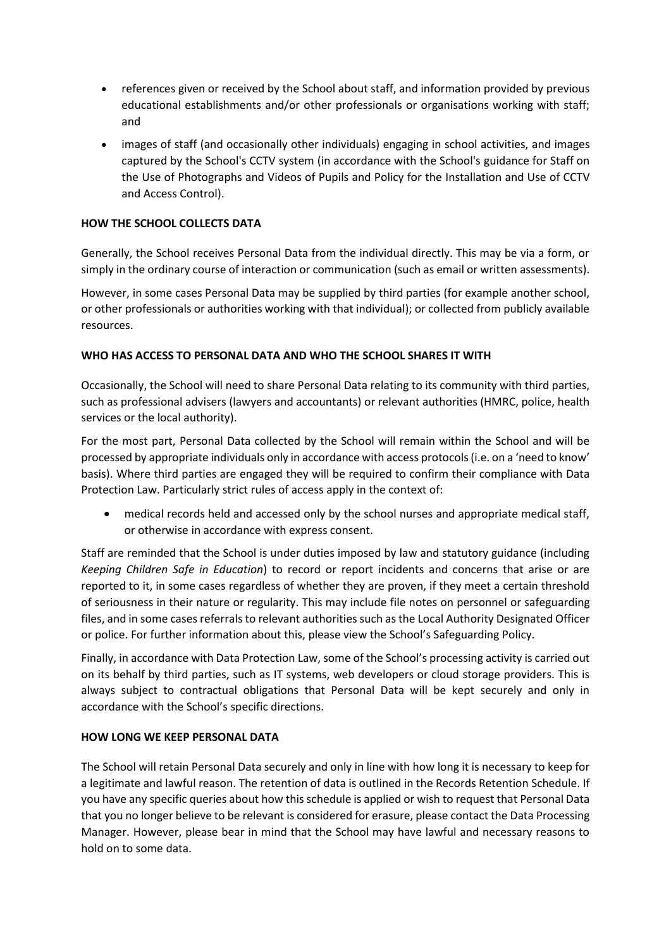- references given or received by the School about staff, and information provided by previous educational establishments and/or other professionals or organisations working with staff; and
- images of staff (and occasionally other individuals) engaging in school activities, and images captured by the School's CCTV system (in accordance with the School's guidance for Staff on the Use of Photographs and Videos of Pupils and Policy for the Installation and Use of CCTV and Access Control).

## **HOW THE SCHOOL COLLECTS DATA**

Generally, the School receives Personal Data from the individual directly. This may be via a form, or simply in the ordinary course of interaction or communication (such as email or written assessments).

However, in some cases Personal Data may be supplied by third parties (for example another school, or other professionals or authorities working with that individual); or collected from publicly available resources.

### **WHO HAS ACCESS TO PERSONAL DATA AND WHO THE SCHOOL SHARES IT WITH**

Occasionally, the School will need to share Personal Data relating to its community with third parties, such as professional advisers (lawyers and accountants) or relevant authorities (HMRC, police, health services or the local authority).

For the most part, Personal Data collected by the School will remain within the School and will be processed by appropriate individuals only in accordance with access protocols (i.e. on a 'need to know' basis). Where third parties are engaged they will be required to confirm their compliance with Data Protection Law. Particularly strict rules of access apply in the context of:

• medical records held and accessed only by the school nurses and appropriate medical staff, or otherwise in accordance with express consent.

Staff are reminded that the School is under duties imposed by law and statutory guidance (including *[Keeping Children Safe in Education](https://www.gov.uk/government/publications/keeping-children-safe-in-education--2)*) to record or report incidents and concerns that arise or are reported to it, in some cases regardless of whether they are proven, if they meet a certain threshold of seriousness in their nature or regularity. This may include file notes on personnel or safeguarding files, and in some cases referrals to relevant authorities such as the Local Authority Designated Officer or police. For further information about this, please view the School's Safeguarding Policy.

Finally, in accordance with Data Protection Law, some of the School's processing activity is carried out on its behalf by third parties, such as IT systems, web developers or cloud storage providers. This is always subject to contractual obligations that Personal Data will be kept securely and only in accordance with the School's specific directions.

### **HOW LONG WE KEEP PERSONAL DATA**

The School will retain Personal Data securely and only in line with how long it is necessary to keep for a legitimate and lawful reason. The retention of data is outlined in the Records Retention Schedule. If you have any specific queries about how this schedule is applied or wish to request that Personal Data that you no longer believe to be relevant is considered for erasure, please contact the Data Processing Manager. However, please bear in mind that the School may have lawful and necessary reasons to hold on to some data.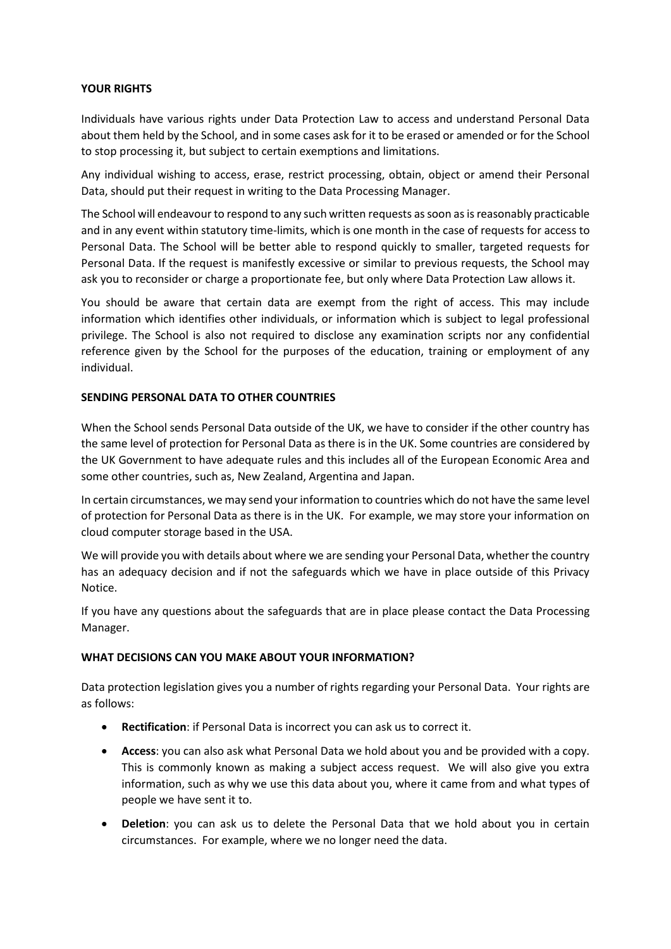### **YOUR RIGHTS**

Individuals have various rights under Data Protection Law to access and understand Personal Data about them held by the School, and in some cases ask for it to be erased or amended or for the School to stop processing it, but subject to certain exemptions and limitations.

Any individual wishing to access, erase, restrict processing, obtain, object or amend their Personal Data, should put their request in writing to the Data Processing Manager.

The School will endeavour to respond to any such written requests as soon as is reasonably practicable and in any event within statutory time-limits, which is one month in the case of requests for access to Personal Data. The School will be better able to respond quickly to smaller, targeted requests for Personal Data. If the request is manifestly excessive or similar to previous requests, the School may ask you to reconsider or charge a proportionate fee, but only where Data Protection Law allows it.

You should be aware that certain data are exempt from the right of access. This may include information which identifies other individuals, or information which is subject to legal professional privilege. The School is also not required to disclose any examination scripts nor any confidential reference given by the School for the purposes of the education, training or employment of any individual.

### **SENDING PERSONAL DATA TO OTHER COUNTRIES**

When the School sends Personal Data outside of the UK, we have to consider if the other country has the same level of protection for Personal Data as there is in the UK. Some countries are considered by the UK Government to have adequate rules and this includes all of the European Economic Area and some other countries, such as, New Zealand, Argentina and Japan.

In certain circumstances, we may send your information to countries which do not have the same level of protection for Personal Data as there is in the UK. For example, we may store your information on cloud computer storage based in the USA.

We will provide you with details about where we are sending your Personal Data, whether the country has an adequacy decision and if not the safeguards which we have in place outside of this Privacy Notice.

If you have any questions about the safeguards that are in place please contact the Data Processing Manager.

### **WHAT DECISIONS CAN YOU MAKE ABOUT YOUR INFORMATION?**

Data protection legislation gives you a number of rights regarding your Personal Data. Your rights are as follows:

- **Rectification**: if Personal Data is incorrect you can ask us to correct it.
- **Access**: you can also ask what Personal Data we hold about you and be provided with a copy. This is commonly known as making a subject access request. We will also give you extra information, such as why we use this data about you, where it came from and what types of people we have sent it to.
- **Deletion**: you can ask us to delete the Personal Data that we hold about you in certain circumstances. For example, where we no longer need the data.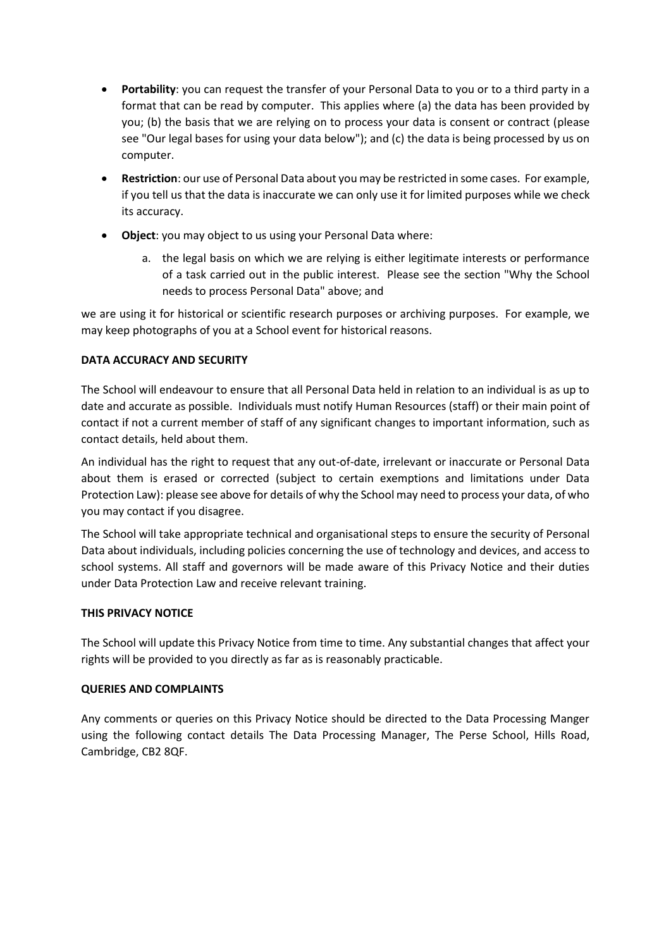- **Portability**: you can request the transfer of your Personal Data to you or to a third party in a format that can be read by computer. This applies where (a) the data has been provided by you; (b) the basis that we are relying on to process your data is consent or contract (please see "Our legal bases for using your data below"); and (c) the data is being processed by us on computer.
- **Restriction**: our use of Personal Data about you may be restricted in some cases. For example, if you tell us that the data is inaccurate we can only use it for limited purposes while we check its accuracy.
- **Object**: you may object to us using your Personal Data where:
	- a. the legal basis on which we are relying is either legitimate interests or performance of a task carried out in the public interest. Please see the section "Why the School needs to process Personal Data" above; and

we are using it for historical or scientific research purposes or archiving purposes. For example, we may keep photographs of you at a School event for historical reasons.

## **DATA ACCURACY AND SECURITY**

The School will endeavour to ensure that all Personal Data held in relation to an individual is as up to date and accurate as possible. Individuals must notify Human Resources (staff) or their main point of contact if not a current member of staff of any significant changes to important information, such as contact details, held about them.

An individual has the right to request that any out-of-date, irrelevant or inaccurate or Personal Data about them is erased or corrected (subject to certain exemptions and limitations under Data Protection Law): please see above for details of why the School may need to process your data, of who you may contact if you disagree.

The School will take appropriate technical and organisational steps to ensure the security of Personal Data about individuals, including policies concerning the use of technology and devices, and access to school systems. All staff and governors will be made aware of this Privacy Notice and their duties under Data Protection Law and receive relevant training.

### **THIS PRIVACY NOTICE**

The School will update this Privacy Notice from time to time. Any substantial changes that affect your rights will be provided to you directly as far as is reasonably practicable.

### **QUERIES AND COMPLAINTS**

Any comments or queries on this Privacy Notice should be directed to the Data Processing Manger using the following contact details The Data Processing Manager, The Perse School, Hills Road, Cambridge, CB2 8QF.